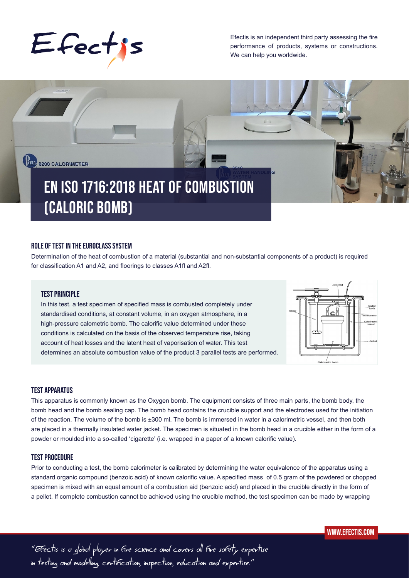

Efectis is an independent third party assessing the fire performance of products, systems or constructions. We can help you worldwide.



# **ROLE OF TEST IN THE EUROCLASS SYSTEM**

Determination of the heat of combustion of a material (substantial and non-substantial components of a product) is required for classification A1 and A2, and floorings to classes A1fl and A2fl.

# **TEST PRINCIPLE**

In this test, a test specimen of specified mass is combusted completely under standardised conditions, at constant volume, in an oxygen atmosphere, in a high-pressure calometric bomb. The calorific value determined under these conditions is calculated on the basis of the observed temperature rise, taking account of heat losses and the latent heat of vaporisation of water. This test determines an absolute combustion value of the product 3 parallel tests are performed.



## **TEST APPARATUS**

This apparatus is commonly known as the Oxygen bomb. The equipment consists of three main parts, the bomb body, the bomb head and the bomb sealing cap. The bomb head contains the crucible support and the electrodes used for the initiation of the reaction. The volume of the bomb is ±300 ml. The bomb is immersed in water in a calorimetric vessel, and then both are placed in a thermally insulated water jacket. The specimen is situated in the bomb head in a crucible either in the form of a powder or moulded into a so-called 'cigarette' (i.e. wrapped in a paper of a known calorific value).

### **TEST PROCEDURE**

Prior to conducting a test, the bomb calorimeter is calibrated by determining the water equivalence of the apparatus using a standard organic compound (benzoic acid) of known calorific value. A specified mass of 0.5 gram of the powdered or chopped specimen is mixed with an equal amount of a combustion aid (benzoic acid) and placed in the crucible directly in the form of a pellet. If complete combustion cannot be achieved using the crucible method, the test specimen can be made by wrapping

"Efectis is a global player in fire science and covers all fire safety expertise in testing and modelling, certification, inspection, education and expertise."